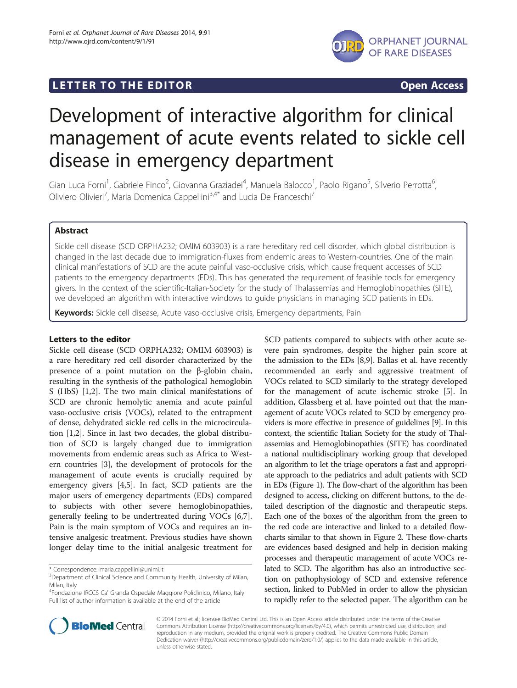# LETTER TO THE EDITOR **CONTRACT CONTRACT CONTRACT CONTRACT CONTRACT CONTRACT CONTRACT CONTRACT CONTRACT CONTRACT CONTRACT CONTRACT CONTRACT CONTRACT CONTRACT CONTRACT CONTRACT CONTRACT CONTRACT CONTRACT CONTRACT CONTRACT CO**



# Development of interactive algorithm for clinical management of acute events related to sickle cell disease in emergency department

Gian Luca Forni<sup>1</sup>, Gabriele Finco<sup>2</sup>, Giovanna Graziadei<sup>4</sup>, Manuela Balocco<sup>1</sup>, Paolo Rigano<sup>5</sup>, Silverio Perrotta<sup>6</sup> י<br>, Oliviero Olivieri<sup>7</sup>, Maria Domenica Cappellini<sup>3,4\*</sup> and Lucia De Franceschi<sup>7</sup>

# Abstract

Sickle cell disease (SCD ORPHA232; OMIM 603903) is a rare hereditary red cell disorder, which global distribution is changed in the last decade due to immigration-fluxes from endemic areas to Western-countries. One of the main clinical manifestations of SCD are the acute painful vaso-occlusive crisis, which cause frequent accesses of SCD patients to the emergency departments (EDs). This has generated the requirement of feasible tools for emergency givers. In the context of the scientific-Italian-Society for the study of Thalassemias and Hemoglobinopathies (SITE), we developed an algorithm with interactive windows to guide physicians in managing SCD patients in EDs.

Keywords: Sickle cell disease, Acute vaso-occlusive crisis, Emergency departments, Pain

## Letters to the editor

Sickle cell disease (SCD ORPHA232; OMIM 603903) is a rare hereditary red cell disorder characterized by the presence of a point mutation on the β-globin chain, resulting in the synthesis of the pathological hemoglobin S (HbS) [\[1,2\]](#page-2-0). The two main clinical manifestations of SCD are chronic hemolytic anemia and acute painful vaso-occlusive crisis (VOCs), related to the entrapment of dense, dehydrated sickle red cells in the microcirculation [[1,2\]](#page-2-0). Since in last two decades, the global distribution of SCD is largely changed due to immigration movements from endemic areas such as Africa to Western countries [\[3](#page-2-0)], the development of protocols for the management of acute events is crucially required by emergency givers [\[4,5](#page-2-0)]. In fact, SCD patients are the major users of emergency departments (EDs) compared to subjects with other severe hemoglobinopathies, generally feeling to be undertreated during VOCs [\[6,7](#page-2-0)]. Pain is the main symptom of VOCs and requires an intensive analgesic treatment. Previous studies have shown longer delay time to the initial analgesic treatment for

\* Correspondence: [maria.cappellini@unimi.it](mailto:maria.cappellini@unimi.it) <sup>3</sup>

4 Fondazione IRCCS Ca' Granda Ospedale Maggiore Policlinico, Milano, Italy Full list of author information is available at the end of the article

SCD patients compared to subjects with other acute severe pain syndromes, despite the higher pain score at the admission to the EDs [[8,9\]](#page-2-0). Ballas et al. have recently recommended an early and aggressive treatment of VOCs related to SCD similarly to the strategy developed for the management of acute ischemic stroke [\[5](#page-2-0)]. In addition, Glassberg et al. have pointed out that the management of acute VOCs related to SCD by emergency providers is more effective in presence of guidelines [[9](#page-2-0)]. In this context, the scientific Italian Society for the study of Thalassemias and Hemoglobinopathies (SITE) has coordinated a national multidisciplinary working group that developed an algorithm to let the triage operators a fast and appropriate approach to the pediatrics and adult patients with SCD in EDs (Figure [1\)](#page-1-0). The flow-chart of the algorithm has been designed to access, clicking on different buttons, to the detailed description of the diagnostic and therapeutic steps. Each one of the boxes of the algorithm from the green to the red code are interactive and linked to a detailed flowcharts similar to that shown in Figure [2.](#page-1-0) These flow-charts are evidences based designed and help in decision making processes and therapeutic management of acute VOCs related to SCD. The algorithm has also an introductive section on pathophysiology of SCD and extensive reference section, linked to PubMed in order to allow the physician to rapidly refer to the selected paper. The algorithm can be



© 2014 Forni et al.; licensee BioMed Central Ltd. This is an Open Access article distributed under the terms of the Creative Commons Attribution License [\(http://creativecommons.org/licenses/by/4.0\)](http://creativecommons.org/licenses/by/4.0), which permits unrestricted use, distribution, and reproduction in any medium, provided the original work is properly credited. The Creative Commons Public Domain Dedication waiver [\(http://creativecommons.org/publicdomain/zero/1.0/](http://creativecommons.org/publicdomain/zero/1.0/)) applies to the data made available in this article, unless otherwise stated.

<sup>&</sup>lt;sup>3</sup>Department of Clinical Science and Community Health, University of Milan, Milan, Italy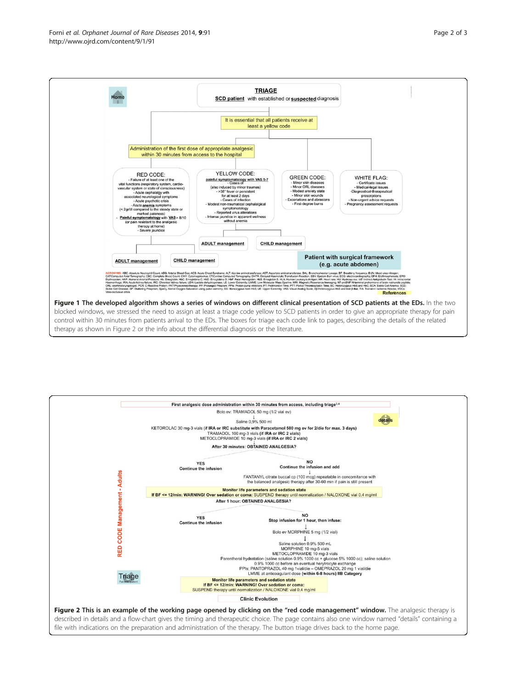<span id="page-1-0"></span>